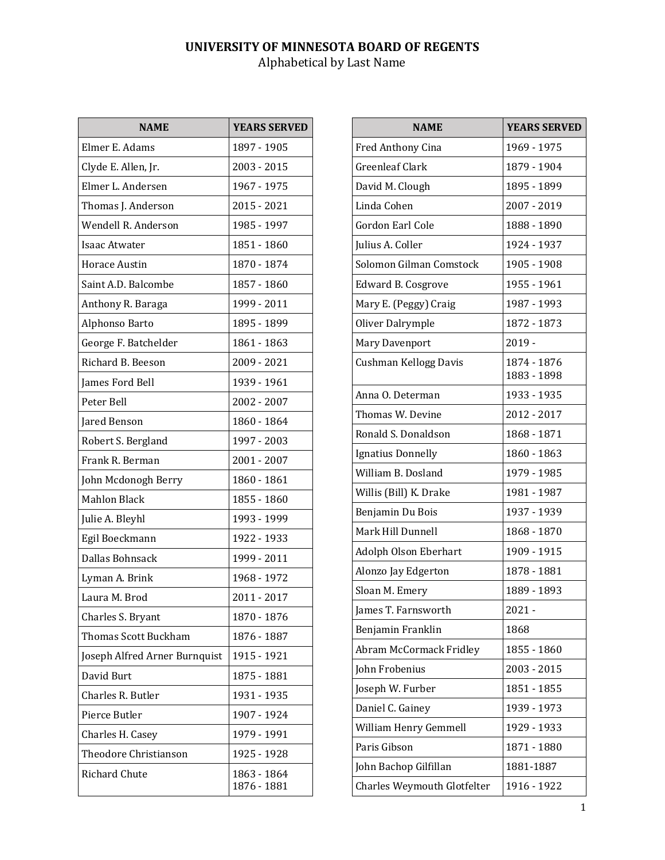| <b>NAME</b>                   | <b>YEARS SERVED</b>        |
|-------------------------------|----------------------------|
| Elmer E. Adams                | 1897 - 1905                |
| Clyde E. Allen, Jr.           | 2003 - 2015                |
| Elmer L. Andersen             | 1967 - 1975                |
| Thomas J. Anderson            | 2015 - 2021                |
| Wendell R. Anderson           | 1985 - 1997                |
| <b>Isaac Atwater</b>          | 1851 - 1860                |
| Horace Austin                 | 1870 - 1874                |
| Saint A.D. Balcombe           | 1857 - 1860                |
| Anthony R. Baraga             | 1999 - 2011                |
| Alphonso Barto                | 1895 - 1899                |
| George F. Batchelder          | 1861 - 1863                |
| Richard B. Beeson             | 2009 - 2021                |
| James Ford Bell               | 1939 - 1961                |
| Peter Bell                    | 2002 - 2007                |
| Jared Benson                  | 1860 - 1864                |
| Robert S. Bergland            | 1997 - 2003                |
| Frank R. Berman               | 2001 - 2007                |
| John Mcdonogh Berry           | 1860 - 1861                |
| <b>Mahlon Black</b>           | 1855 - 1860                |
| Julie A. Bleyhl               | 1993 - 1999                |
| Egil Boeckmann                | 1922 - 1933                |
| Dallas Bohnsack               | 1999 - 2011                |
| Lyman A. Brink                | 1968 - 1972                |
| Laura M. Brod                 | 2011 - 2017                |
| Charles S. Bryant             | 1870 - 1876                |
| Thomas Scott Buckham          | 1876 - 1887                |
| Joseph Alfred Arner Burnquist | 1915 - 1921                |
| David Burt                    | 1875 - 1881                |
| Charles R. Butler             | 1931 - 1935                |
| Pierce Butler                 | 1907 - 1924                |
| Charles H. Casey              | 1979 - 1991                |
| Theodore Christianson         | 1925 - 1928                |
| Richard Chute                 | 1863 - 1864<br>1876 - 1881 |

| <b>NAME</b>                    | <b>YEARS SERVED</b>        |
|--------------------------------|----------------------------|
| Fred Anthony Cina              | 1969 - 1975                |
| <b>Greenleaf Clark</b>         | 1879 - 1904                |
| David M. Clough                | 1895 - 1899                |
| Linda Cohen                    | 2007 - 2019                |
| Gordon Earl Cole               | 1888 - 1890                |
| Julius A. Coller               | 1924 - 1937                |
| Solomon Gilman Comstock        | 1905 - 1908                |
| <b>Edward B. Cosgrove</b>      | 1955 - 1961                |
| Mary E. (Peggy) Craig          | 1987 - 1993                |
| Oliver Dalrymple               | 1872 - 1873                |
| Mary Davenport                 | $2019 -$                   |
| Cushman Kellogg Davis          | 1874 - 1876<br>1883 - 1898 |
| Anna O. Determan               | 1933 - 1935                |
| Thomas W. Devine               | 2012 - 2017                |
| Ronald S. Donaldson            | 1868 - 1871                |
| <b>Ignatius Donnelly</b>       | 1860 - 1863                |
| William B. Dosland             | 1979 - 1985                |
| Willis (Bill) K. Drake         | 1981 - 1987                |
| Benjamin Du Bois               | 1937 - 1939                |
| Mark Hill Dunnell              | 1868 - 1870                |
| Adolph Olson Eberhart          | 1909 - 1915                |
| Alonzo Jay Edgerton            | 1878 - 1881                |
| Sloan M. Emery                 | 1889 - 1893                |
| James T. Farnsworth            | $2021 -$                   |
| Benjamin Franklin              | 1868                       |
| <b>Abram McCormack Fridley</b> | 1855 - 1860                |
| John Frobenius                 | 2003 - 2015                |
| Joseph W. Furber               | 1851 - 1855                |
| Daniel C. Gainey               | 1939 - 1973                |
| William Henry Gemmell          | 1929 - 1933                |
| Paris Gibson                   | 1871 - 1880                |
| John Bachop Gilfillan          | 1881-1887                  |
| Charles Weymouth Glotfelter    | 1916 - 1922                |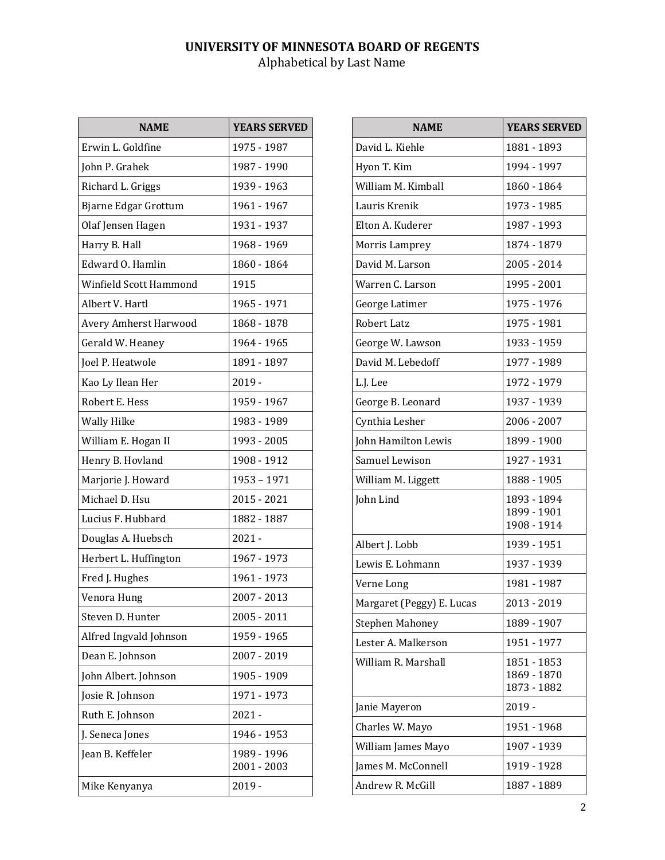| <b>NAME</b>                  | <b>YEARS SERVED</b>        |
|------------------------------|----------------------------|
| Erwin L. Goldfine            | 1975 - 1987                |
| John P. Grahek               | 1987 - 1990                |
| Richard L. Griggs            | 1939 - 1963                |
| Bjarne Edgar Grottum         | 1961 - 1967                |
| Olaf Jensen Hagen            | 1931 - 1937                |
| Harry B. Hall                | 1968 - 1969                |
| Edward O. Hamlin             | 1860 - 1864                |
| Winfield Scott Hammond       | 1915                       |
| Albert V. Hartl              | 1965 - 1971                |
| <b>Avery Amherst Harwood</b> | 1868 - 1878                |
| Gerald W. Heaney             | 1964 - 1965                |
| Joel P. Heatwole             | 1891 - 1897                |
| Kao Ly Ilean Her             | $2019 -$                   |
| Robert E. Hess               | 1959 - 1967                |
| <b>Wally Hilke</b>           | 1983 - 1989                |
| William E. Hogan II          | 1993 - 2005                |
| Henry B. Hovland             | 1908 - 1912                |
| Marjorie J. Howard           | 1953 - 1971                |
| Michael D. Hsu               | 2015 - 2021                |
| Lucius F. Hubbard            | 1882 - 1887                |
| Douglas A. Huebsch           | $2021 -$                   |
| Herbert L. Huffington        | 1967 - 1973                |
| Fred J. Hughes               | 1961 - 1973                |
| Venora Hung                  | 2007 - 2013                |
| Steven D. Hunter             | 2005 - 2011                |
| Alfred Ingvald Johnson       | 1959 - 1965                |
| Dean E. Johnson              | 2007 - 2019                |
| John Albert. Johnson         | 1905 - 1909                |
| Josie R. Johnson             | 1971 - 1973                |
| Ruth E. Johnson              | $2021 -$                   |
| J. Seneca Jones              | 1946 - 1953                |
| Jean B. Keffeler             | 1989 - 1996<br>2001 - 2003 |
| Mike Kenyanya                | $2019 -$                   |

| <b>NAME</b>               | <b>YEARS SERVED</b>        |
|---------------------------|----------------------------|
| David L. Kiehle           | 1881 - 1893                |
| Hyon T. Kim               | 1994 - 1997                |
| William M. Kimball        | 1860 - 1864                |
| Lauris Krenik             | 1973 - 1985                |
| Elton A. Kuderer          | 1987 - 1993                |
| Morris Lamprey            | 1874 - 1879                |
| David M. Larson           | 2005 - 2014                |
| Warren C. Larson          | 1995 - 2001                |
| George Latimer            | 1975 - 1976                |
| Robert Latz               | 1975 - 1981                |
| George W. Lawson          | 1933 - 1959                |
| David M. Lebedoff         | 1977 - 1989                |
| L.J. Lee                  | 1972 - 1979                |
| George B. Leonard         | 1937 - 1939                |
| Cynthia Lesher            | 2006 - 2007                |
| John Hamilton Lewis       | 1899 - 1900                |
| Samuel Lewison            | 1927 - 1931                |
| William M. Liggett        | 1888 - 1905                |
| John Lind                 | 1893 - 1894                |
|                           | 1899 - 1901<br>1908 - 1914 |
| Albert J. Lobb            | 1939 - 1951                |
| Lewis E. Lohmann          | 1937 - 1939                |
| Verne Long                | 1981 - 1987                |
| Margaret (Peggy) E. Lucas | 2013 - 2019                |
| <b>Stephen Mahoney</b>    | 1889 - 1907                |
| Lester A. Malkerson       | 1951 - 1977                |
| William R. Marshall       | 1851 - 1853                |
|                           | 1869 - 1870<br>1873 - 1882 |
| Janie Mayeron             | $2019 -$                   |
| Charles W. Mayo           | 1951 - 1968                |
| William James Mayo        | 1907 - 1939                |
| James M. McConnell        | 1919 - 1928                |
| Andrew R. McGill          | 1887 - 1889                |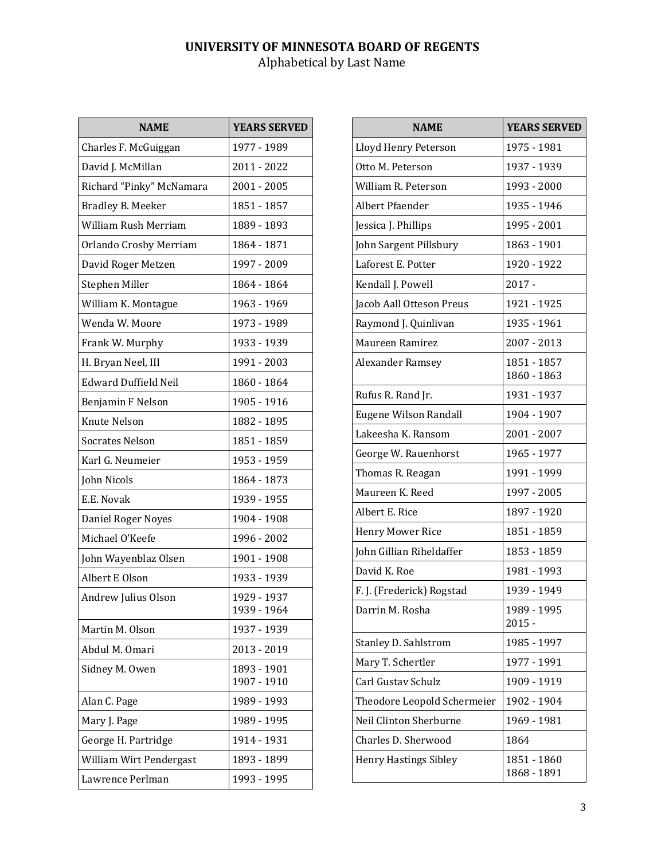| <b>NAME</b>                 | <b>YEARS SERVED</b>        |
|-----------------------------|----------------------------|
| Charles F. McGuiggan        | 1977 - 1989                |
| David J. McMillan           | 2011 - 2022                |
| Richard "Pinky" McNamara    | 2001 - 2005                |
| Bradley B. Meeker           | 1851 - 1857                |
| William Rush Merriam        | 1889 - 1893                |
| Orlando Crosby Merriam      | 1864 - 1871                |
| David Roger Metzen          | 1997 - 2009                |
| Stephen Miller              | 1864 - 1864                |
| William K. Montague         | 1963 - 1969                |
| Wenda W. Moore              | 1973 - 1989                |
| Frank W. Murphy             | 1933 - 1939                |
| H. Bryan Neel, III          | 1991 - 2003                |
| <b>Edward Duffield Neil</b> | 1860 - 1864                |
| Benjamin F Nelson           | 1905 - 1916                |
| Knute Nelson                | 1882 - 1895                |
| <b>Socrates Nelson</b>      | 1851 - 1859                |
| Karl G. Neumeier            | 1953 - 1959                |
| John Nicols                 | 1864 - 1873                |
| E.E. Novak                  | 1939 - 1955                |
| Daniel Roger Noyes          | 1904 - 1908                |
| Michael O'Keefe             | 1996 - 2002                |
| John Wayenblaz Olsen        | 1901 - 1908                |
| Albert E Olson              | 1933 - 1939                |
| Andrew Julius Olson         | 1929 - 1937<br>1939 - 1964 |
| Martin M. Olson             | 1937 - 1939                |
| Abdul M. Omari              | 2013 - 2019                |
| Sidney M. Owen              | 1893 - 1901<br>1907 - 1910 |
| Alan C. Page                | 1989 - 1993                |
| Mary J. Page                | 1989 - 1995                |
| George H. Partridge         | 1914 - 1931                |
| William Wirt Pendergast     | 1893 - 1899                |
| Lawrence Perlman            | 1993 - 1995                |

| <b>NAME</b>                  | <b>YEARS SERVED</b>        |
|------------------------------|----------------------------|
| Lloyd Henry Peterson         | 1975 - 1981                |
| Otto M. Peterson             | 1937 - 1939                |
| William R. Peterson          | 1993 - 2000                |
| Albert Pfaender              | 1935 - 1946                |
| Jessica J. Phillips          | 1995 - 2001                |
| John Sargent Pillsbury       | 1863 - 1901                |
| Laforest E. Potter           | 1920 - 1922                |
| Kendall J. Powell            | $2017 -$                   |
| Jacob Aall Otteson Preus     | 1921 - 1925                |
| Raymond J. Quinlivan         | 1935 - 1961                |
| Maureen Ramirez              | 2007 - 2013                |
| Alexander Ramsey             | 1851 - 1857<br>1860 - 1863 |
| Rufus R. Rand Jr.            | 1931 - 1937                |
| Eugene Wilson Randall        | 1904 - 1907                |
| Lakeesha K. Ransom           | 2001 - 2007                |
| George W. Rauenhorst         | 1965 - 1977                |
| Thomas R. Reagan             | 1991 - 1999                |
| Maureen K. Reed              | 1997 - 2005                |
| Albert E. Rice               | 1897 - 1920                |
| <b>Henry Mower Rice</b>      | 1851 - 1859                |
| John Gillian Riheldaffer     | 1853 - 1859                |
| David K. Roe                 | 1981 - 1993                |
| F. J. (Frederick) Rogstad    | 1939 - 1949                |
| Darrin M. Rosha              | 1989 - 1995<br>$2015 -$    |
| Stanley D. Sahlstrom         | 1985 - 1997                |
| Mary T. Schertler            | 1977 - 1991                |
| Carl Gustav Schulz           | 1909 - 1919                |
| Theodore Leopold Schermeier  | 1902 - 1904                |
| Neil Clinton Sherburne       | 1969 - 1981                |
| Charles D. Sherwood          | 1864                       |
| <b>Henry Hastings Sibley</b> | 1851 - 1860<br>1868 - 1891 |